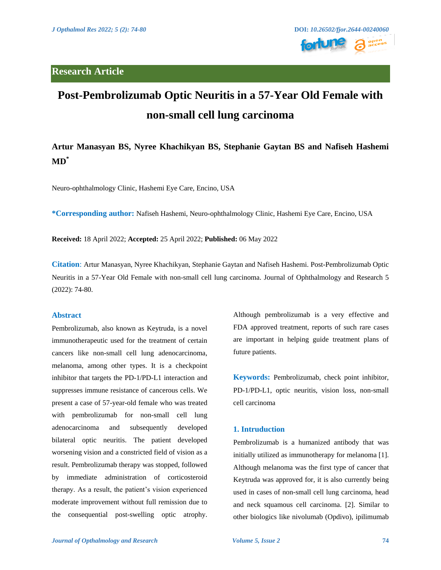

# **Post-Pembrolizumab Optic Neuritis in a 57-Year Old Female with non-small cell lung carcinoma**

# **Artur Manasyan BS, Nyree Khachikyan BS, Stephanie Gaytan BS and Nafiseh Hashemi MD\***

Neuro-ophthalmology Clinic, Hashemi Eye Care, Encino, USA

**\*Corresponding author:** Nafiseh Hashemi, Neuro-ophthalmology Clinic, Hashemi Eye Care, Encino, USA

**Received:** 18 April 2022; **Accepted:** 25 April 2022; **Published:** 06 May 2022

**Citation**: Artur Manasyan, Nyree Khachikyan, Stephanie Gaytan and Nafiseh Hashemi. Post-Pembrolizumab Optic Neuritis in a 57-Year Old Female with non-small cell lung carcinoma. Journal of Ophthalmology and Research 5 (2022): 74-80.

#### **Abstract**

Pembrolizumab, also known as Keytruda, is a novel immunotherapeutic used for the treatment of certain cancers like non-small cell lung adenocarcinoma, melanoma, among other types. It is a checkpoint inhibitor that targets the PD-1/PD-L1 interaction and suppresses immune resistance of cancerous cells. We present a case of 57-year-old female who was treated with pembrolizumab for non-small cell lung adenocarcinoma and subsequently developed bilateral optic neuritis. The patient developed worsening vision and a constricted field of vision as a result. Pembrolizumab therapy was stopped, followed by immediate administration of corticosteroid therapy. As a result, the patient's vision experienced moderate improvement without full remission due to the consequential post-swelling optic atrophy. Although pembrolizumab is a very effective and FDA approved treatment, reports of such rare cases are important in helping guide treatment plans of future patients.

**Keywords:** Pembrolizumab, check point inhibitor, PD-1/PD-L1, optic neuritis, vision loss, non-small cell carcinoma

#### **1. Intruduction**

Pembrolizumab is a humanized antibody that was initially utilized as immunotherapy for melanoma [1]. Although melanoma was the first type of cancer that Keytruda was approved for, it is also currently being used in cases of non-small cell lung carcinoma, head and neck squamous cell carcinoma. [2]. Similar to other biologics like nivolumab (Opdivo), ipilimumab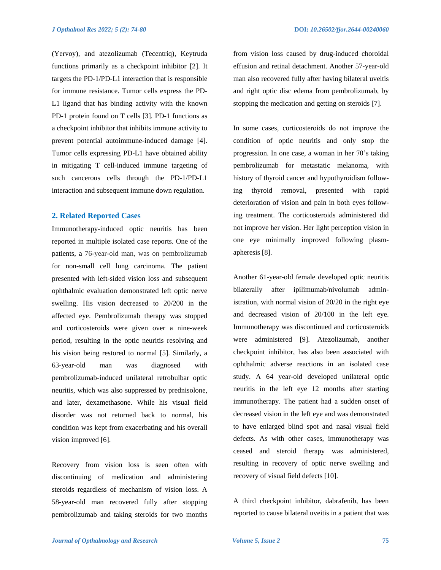(Yervoy), and atezolizumab (Tecentriq), Keytruda functions primarily as a checkpoint inhibitor [2]. It targets the PD-1/PD-L1 interaction that is responsible for immune resistance. Tumor cells express the PD-L1 ligand that has binding activity with the known PD-1 protein found on T cells [3]. PD-1 functions as a checkpoint inhibitor that inhibits immune activity to prevent potential autoimmune-induced damage [4]. Tumor cells expressing PD-L1 have obtained ability in mitigating T cell-induced immune targeting of such cancerous cells through the PD-1/PD-L1 interaction and subsequent immune down regulation.

#### **2. Related Reported Cases**

Immunotherapy-induced optic neuritis has been reported in multiple isolated case reports. One of the patients, a 76-year-old man, was on pembrolizumab for non-small cell lung carcinoma. The patient presented with left-sided vision loss and subsequent ophthalmic evaluation demonstrated left optic nerve swelling. His vision decreased to 20/200 in the affected eye. Pembrolizumab therapy was stopped and corticosteroids were given over a nine-week period, resulting in the optic neuritis resolving and his vision being restored to normal [5]. Similarly, a 63-year-old man was diagnosed with pembrolizumab-induced unilateral retrobulbar optic neuritis, which was also suppressed by prednisolone, and later, dexamethasone. While his visual field disorder was not returned back to normal, his condition was kept from exacerbating and his overall vision improved [6].

Recovery from vision loss is seen often with discontinuing of medication and administering steroids regardless of mechanism of vision loss. A 58-year-old man recovered fully after stopping pembrolizumab and taking steroids for two months from vision loss caused by drug-induced choroidal effusion and retinal detachment. Another 57-year-old man also recovered fully after having bilateral uveitis and right optic disc edema from pembrolizumab, by stopping the medication and getting on steroids [7].

In some cases, corticosteroids do not improve the condition of optic neuritis and only stop the progression. In one case, a woman in her 70's taking pembrolizumab for metastatic melanoma, with history of thyroid cancer and hypothyroidism following thyroid removal, presented with rapid deterioration of vision and pain in both eyes following treatment. The corticosteroids administered did not improve her vision. Her light perception vision in one eye minimally improved following plasmapheresis [8].

Another 61-year-old female developed optic neuritis bilaterally after ipilimumab/nivolumab administration, with normal vision of 20/20 in the right eye and decreased vision of 20/100 in the left eye. Immunotherapy was discontinued and corticosteroids were administered [9]. Atezolizumab, another checkpoint inhibitor, has also been associated with ophthalmic adverse reactions in an isolated case study. A 64 year-old developed unilateral optic neuritis in the left eye 12 months after starting immunotherapy. The patient had a sudden onset of decreased vision in the left eye and was demonstrated to have enlarged blind spot and nasal visual field defects. As with other cases, immunotherapy was ceased and steroid therapy was administered, resulting in recovery of optic nerve swelling and recovery of visual field defects [10].

A third checkpoint inhibitor, dabrafenib, has been reported to cause bilateral uveitis in a patient that was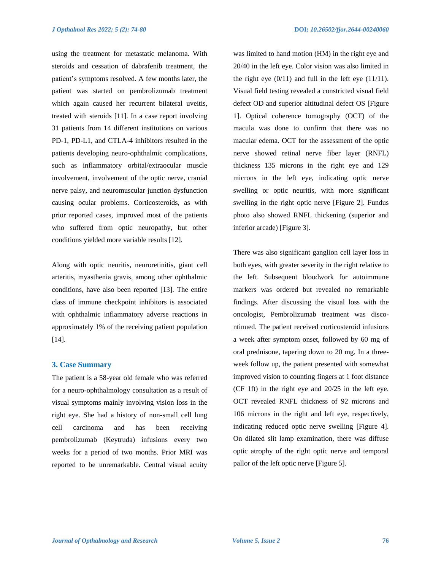using the treatment for metastatic melanoma. With steroids and cessation of dabrafenib treatment, the patient's symptoms resolved. A few months later, the patient was started on pembrolizumab treatment which again caused her recurrent bilateral uveitis, treated with steroids [11]. In a case report involving 31 patients from 14 different institutions on various PD-1, PD-L1, and CTLA-4 inhibitors resulted in the patients developing neuro-ophthalmic complications, such as inflammatory orbital/extraocular muscle involvement, involvement of the optic nerve, cranial nerve palsy, and neuromuscular junction dysfunction causing ocular problems. Corticosteroids, as with prior reported cases, improved most of the patients who suffered from optic neuropathy, but other conditions yielded more variable results [12].

Along with optic neuritis, neuroretinitis, giant cell arteritis, myasthenia gravis, among other ophthalmic conditions, have also been reported [13]. The entire class of immune checkpoint inhibitors is associated with ophthalmic inflammatory adverse reactions in approximately 1% of the receiving patient population [14].

## **3. Case Summary**

The patient is a 58-year old female who was referred for a neuro-ophthalmology consultation as a result of visual symptoms mainly involving vision loss in the right eye. She had a history of non-small cell lung cell carcinoma and has been receiving pembrolizumab (Keytruda) infusions every two weeks for a period of two months. Prior MRI was reported to be unremarkable. Central visual acuity was limited to hand motion (HM) in the right eye and 20/40 in the left eye. Color vision was also limited in the right eye  $(0/11)$  and full in the left eye  $(11/11)$ . Visual field testing revealed a constricted visual field defect OD and superior altitudinal defect OS [Figure 1]. Optical coherence tomography (OCT) of the macula was done to confirm that there was no macular edema. OCT for the assessment of the optic nerve showed retinal nerve fiber layer (RNFL) thickness 135 microns in the right eye and 129 microns in the left eye, indicating optic nerve swelling or optic neuritis, with more significant swelling in the right optic nerve [Figure 2]. Fundus photo also showed RNFL thickening (superior and inferior arcade) [Figure 3].

There was also significant ganglion cell layer loss in both eyes, with greater severity in the right relative to the left. Subsequent bloodwork for autoimmune markers was ordered but revealed no remarkable findings. After discussing the visual loss with the oncologist, Pembrolizumab treatment was discontinued. The patient received corticosteroid infusions a week after symptom onset, followed by 60 mg of oral prednisone, tapering down to 20 mg. In a threeweek follow up, the patient presented with somewhat improved vision to counting fingers at 1 foot distance (CF 1ft) in the right eye and 20/25 in the left eye. OCT revealed RNFL thickness of 92 microns and 106 microns in the right and left eye, respectively, indicating reduced optic nerve swelling [Figure 4]. On dilated slit lamp examination, there was diffuse optic atrophy of the right optic nerve and temporal pallor of the left optic nerve [Figure 5].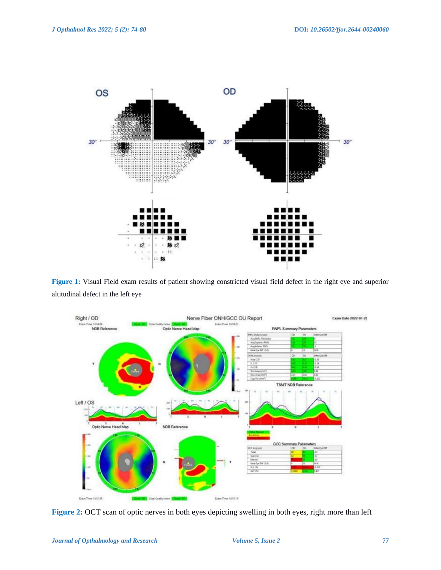

**Figure 1:** Visual Field exam results of patient showing constricted visual field defect in the right eye and superior altitudinal defect in the left eye



**Figure 2:** OCT scan of optic nerves in both eyes depicting swelling in both eyes, right more than left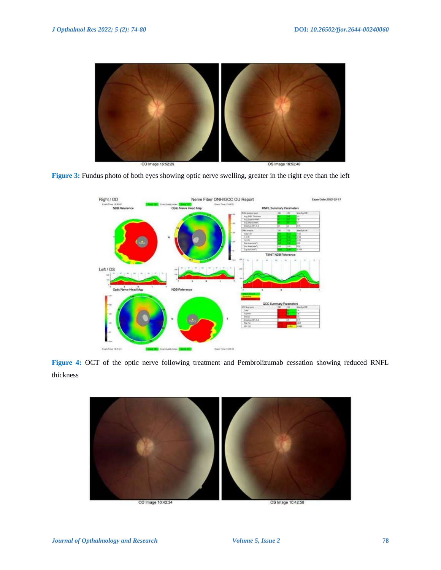





**Figure 4:** OCT of the optic nerve following treatment and Pembrolizumab cessation showing reduced RNFL thickness

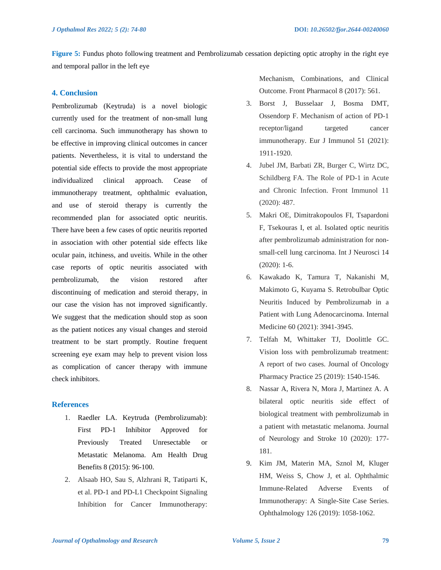**Figure 5:** Fundus photo following treatment and Pembrolizumab cessation depicting optic atrophy in the right eye and temporal pallor in the left eye

## **4. Conclusion**

Pembrolizumab (Keytruda) is a novel biologic currently used for the treatment of non-small lung cell carcinoma. Such immunotherapy has shown to be effective in improving clinical outcomes in cancer patients. Nevertheless, it is vital to understand the potential side effects to provide the most appropriate individualized clinical approach. Cease of immunotherapy treatment, ophthalmic evaluation, and use of steroid therapy is currently the recommended plan for associated optic neuritis. There have been a few cases of optic neuritis reported in association with other potential side effects like ocular pain, itchiness, and uveitis. While in the other case reports of optic neuritis associated with pembrolizumab, the vision restored after discontinuing of medication and steroid therapy, in our case the vision has not improved significantly. We suggest that the medication should stop as soon as the patient notices any visual changes and steroid treatment to be start promptly. Routine frequent screening eye exam may help to prevent vision loss as complication of cancer therapy with immune check inhibitors.

#### **References**

- 1. Raedler LA. Keytruda (Pembrolizumab): First PD-1 Inhibitor Approved for Previously Treated Unresectable or Metastatic Melanoma. Am Health Drug Benefits 8 (2015): 96-100.
- 2. Alsaab HO, Sau S, Alzhrani R, Tatiparti K, et al. PD-1 and PD-L1 Checkpoint Signaling Inhibition for Cancer Immunotherapy:

Mechanism, Combinations, and Clinical Outcome. Front Pharmacol 8 (2017): 561.

- 3. Borst J, Busselaar J, Bosma DMT, Ossendorp F. Mechanism of action of PD-1 receptor/ligand targeted cancer immunotherapy. Eur J Immunol 51 (2021): 1911-1920.
- 4. Jubel JM, Barbati ZR, Burger C, Wirtz DC, Schildberg FA. The Role of PD-1 in Acute and Chronic Infection. Front Immunol 11 (2020): 487.
- 5. Makri OE, Dimitrakopoulos FI, Tsapardoni F, Tsekouras I, et al. Isolated optic neuritis after pembrolizumab administration for nonsmall-cell lung carcinoma. Int J Neurosci 14 (2020): 1-6.
- 6. Kawakado K, Tamura T, Nakanishi M, Makimoto G, Kuyama S. Retrobulbar Optic Neuritis Induced by Pembrolizumab in a Patient with Lung Adenocarcinoma. Internal Medicine 60 (2021): 3941-3945.
- 7. Telfah M, Whittaker TJ, Doolittle GC. Vision loss with pembrolizumab treatment: A report of two cases. Journal of Oncology Pharmacy Practice 25 (2019): 1540-1546.
- 8. Nassar A, Rivera N, Mora J, Martinez A. A bilateral optic neuritis side effect of biological treatment with pembrolizumab in a patient with metastatic melanoma. Journal of Neurology and Stroke 10 (2020): 177- 181.
- 9. Kim JM, Materin MA, Sznol M, Kluger HM, Weiss S, Chow J, et al. Ophthalmic Immune-Related Adverse Events of Immunotherapy: A Single-Site Case Series. Ophthalmology 126 (2019): 1058-1062.